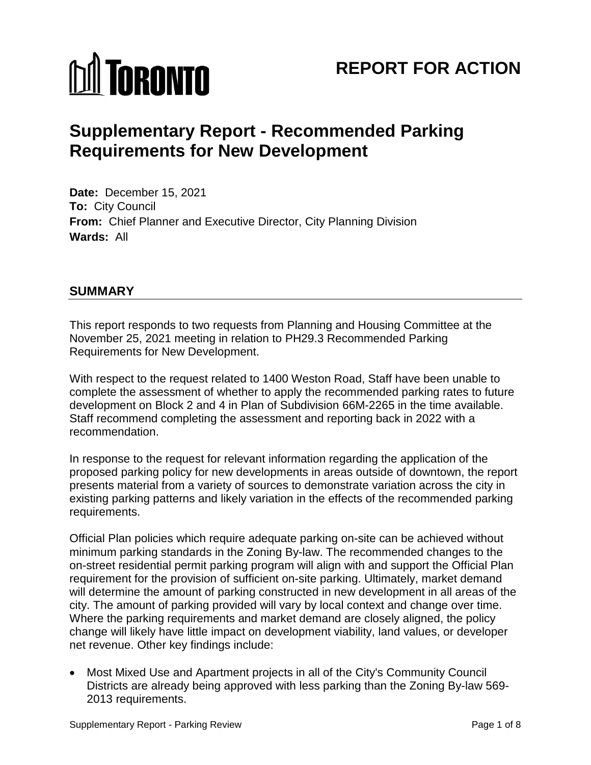# **M** TORONTO

# **REPORT FOR ACTION**

# **Supplementary Report - Recommended Parking Requirements for New Development**

**Date:** December 15, 2021 **To:** City Council **From:** Chief Planner and Executive Director, City Planning Division **Wards:** All

# **SUMMARY**

This report responds to two requests from Planning and Housing Committee at the November 25, 2021 meeting in relation to PH29.3 Recommended Parking Requirements for New Development.

With respect to the request related to 1400 Weston Road, Staff have been unable to complete the assessment of whether to apply the recommended parking rates to future development on Block 2 and 4 in Plan of Subdivision 66M-2265 in the time available. Staff recommend completing the assessment and reporting back in 2022 with a recommendation.

In response to the request for relevant information regarding the application of the proposed parking policy for new developments in areas outside of downtown, the report presents material from a variety of sources to demonstrate variation across the city in existing parking patterns and likely variation in the effects of the recommended parking requirements.

Official Plan policies which require adequate parking on-site can be achieved without minimum parking standards in the Zoning By-law. The recommended changes to the on-street residential permit parking program will align with and support the Official Plan requirement for the provision of sufficient on-site parking. Ultimately, market demand will determine the amount of parking constructed in new development in all areas of the city. The amount of parking provided will vary by local context and change over time. Where the parking requirements and market demand are closely aligned, the policy change will likely have little impact on development viability, land values, or developer net revenue. Other key findings include:

• Most Mixed Use and Apartment projects in all of the City's Community Council Districts are already being approved with less parking than the Zoning By-law 569- 2013 requirements.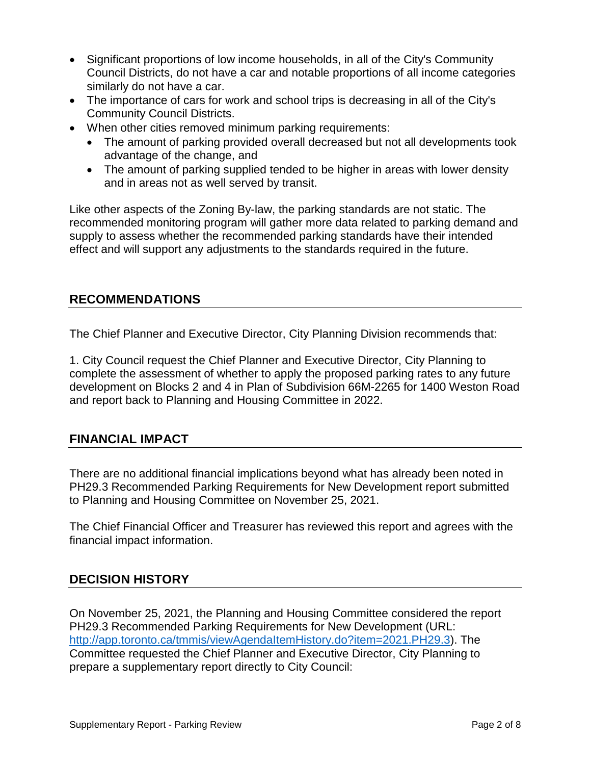- Significant proportions of low income households, in all of the City's Community Council Districts, do not have a car and notable proportions of all income categories similarly do not have a car.
- The importance of cars for work and school trips is decreasing in all of the City's Community Council Districts.
- When other cities removed minimum parking requirements:
	- The amount of parking provided overall decreased but not all developments took advantage of the change, and
	- The amount of parking supplied tended to be higher in areas with lower density and in areas not as well served by transit.

Like other aspects of the Zoning By-law, the parking standards are not static. The recommended monitoring program will gather more data related to parking demand and supply to assess whether the recommended parking standards have their intended effect and will support any adjustments to the standards required in the future.

# **RECOMMENDATIONS**

The Chief Planner and Executive Director, City Planning Division recommends that:

1. City Council request the Chief Planner and Executive Director, City Planning to complete the assessment of whether to apply the proposed parking rates to any future development on Blocks 2 and 4 in Plan of Subdivision 66M-2265 for 1400 Weston Road and report back to Planning and Housing Committee in 2022.

# **FINANCIAL IMPACT**

There are no additional financial implications beyond what has already been noted in PH29.3 Recommended Parking Requirements for New Development report submitted to Planning and Housing Committee on November 25, 2021.

The Chief Financial Officer and Treasurer has reviewed this report and agrees with the financial impact information.

# **DECISION HISTORY**

On November 25, 2021, the Planning and Housing Committee considered the report PH29.3 Recommended Parking Requirements for New Development (URL: [http://app.toronto.ca/tmmis/viewAgendaItemHistory.do?item=2021.PH29.3\)](http://app.toronto.ca/tmmis/viewAgendaItemHistory.do?item=2021.PH29.3). The Committee requested the Chief Planner and Executive Director, City Planning to prepare a supplementary report directly to City Council: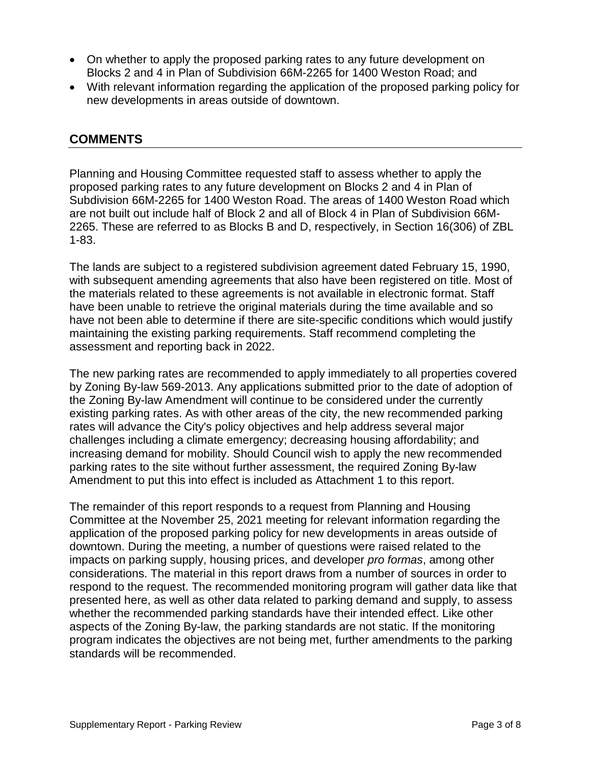- On whether to apply the proposed parking rates to any future development on Blocks 2 and 4 in Plan of Subdivision 66M-2265 for 1400 Weston Road; and
- With relevant information regarding the application of the proposed parking policy for new developments in areas outside of downtown.

# **COMMENTS**

Planning and Housing Committee requested staff to assess whether to apply the proposed parking rates to any future development on Blocks 2 and 4 in Plan of Subdivision 66M-2265 for 1400 Weston Road. The areas of 1400 Weston Road which are not built out include half of Block 2 and all of Block 4 in Plan of Subdivision 66M-2265. These are referred to as Blocks B and D, respectively, in Section 16(306) of ZBL 1-83.

The lands are subject to a registered subdivision agreement dated February 15, 1990, with subsequent amending agreements that also have been registered on title. Most of the materials related to these agreements is not available in electronic format. Staff have been unable to retrieve the original materials during the time available and so have not been able to determine if there are site-specific conditions which would justify maintaining the existing parking requirements. Staff recommend completing the assessment and reporting back in 2022.

The new parking rates are recommended to apply immediately to all properties covered by Zoning By-law 569-2013. Any applications submitted prior to the date of adoption of the Zoning By-law Amendment will continue to be considered under the currently existing parking rates. As with other areas of the city, the new recommended parking rates will advance the City's policy objectives and help address several major challenges including a climate emergency; decreasing housing affordability; and increasing demand for mobility. Should Council wish to apply the new recommended parking rates to the site without further assessment, the required Zoning By-law Amendment to put this into effect is included as Attachment 1 to this report.

The remainder of this report responds to a request from Planning and Housing Committee at the November 25, 2021 meeting for relevant information regarding the application of the proposed parking policy for new developments in areas outside of downtown. During the meeting, a number of questions were raised related to the impacts on parking supply, housing prices, and developer *pro formas*, among other considerations. The material in this report draws from a number of sources in order to respond to the request. The recommended monitoring program will gather data like that presented here, as well as other data related to parking demand and supply, to assess whether the recommended parking standards have their intended effect. Like other aspects of the Zoning By-law, the parking standards are not static. If the monitoring program indicates the objectives are not being met, further amendments to the parking standards will be recommended.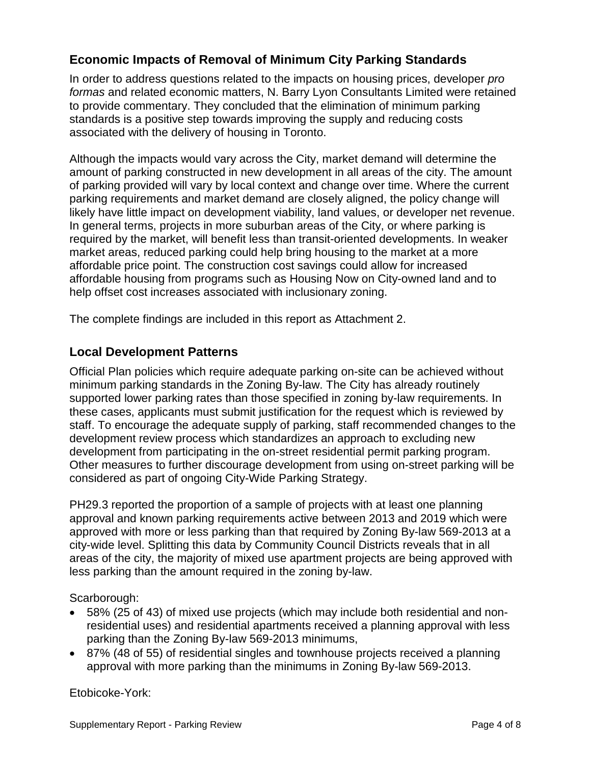# **Economic Impacts of Removal of Minimum City Parking Standards**

In order to address questions related to the impacts on housing prices, developer *pro formas* and related economic matters, N. Barry Lyon Consultants Limited were retained to provide commentary. They concluded that the elimination of minimum parking standards is a positive step towards improving the supply and reducing costs associated with the delivery of housing in Toronto.

Although the impacts would vary across the City, market demand will determine the amount of parking constructed in new development in all areas of the city. The amount of parking provided will vary by local context and change over time. Where the current parking requirements and market demand are closely aligned, the policy change will likely have little impact on development viability, land values, or developer net revenue. In general terms, projects in more suburban areas of the City, or where parking is required by the market, will benefit less than transit-oriented developments. In weaker market areas, reduced parking could help bring housing to the market at a more affordable price point. The construction cost savings could allow for increased affordable housing from programs such as Housing Now on City-owned land and to help offset cost increases associated with inclusionary zoning.

The complete findings are included in this report as Attachment 2.

# **Local Development Patterns**

Official Plan policies which require adequate parking on-site can be achieved without minimum parking standards in the Zoning By-law. The City has already routinely supported lower parking rates than those specified in zoning by-law requirements. In these cases, applicants must submit justification for the request which is reviewed by staff. To encourage the adequate supply of parking, staff recommended changes to the development review process which standardizes an approach to excluding new development from participating in the on-street residential permit parking program. Other measures to further discourage development from using on-street parking will be considered as part of ongoing City-Wide Parking Strategy.

PH29.3 reported the proportion of a sample of projects with at least one planning approval and known parking requirements active between 2013 and 2019 which were approved with more or less parking than that required by Zoning By-law 569-2013 at a city-wide level. Splitting this data by Community Council Districts reveals that in all areas of the city, the majority of mixed use apartment projects are being approved with less parking than the amount required in the zoning by-law.

Scarborough:

- 58% (25 of 43) of mixed use projects (which may include both residential and nonresidential uses) and residential apartments received a planning approval with less parking than the Zoning By-law 569-2013 minimums,
- 87% (48 of 55) of residential singles and townhouse projects received a planning approval with more parking than the minimums in Zoning By-law 569-2013.

Etobicoke-York: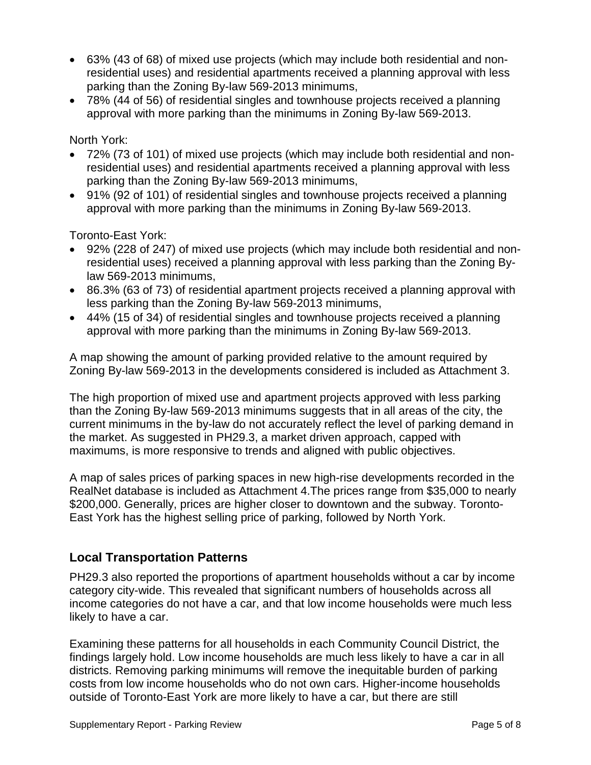- 63% (43 of 68) of mixed use projects (which may include both residential and nonresidential uses) and residential apartments received a planning approval with less parking than the Zoning By-law 569-2013 minimums,
- 78% (44 of 56) of residential singles and townhouse projects received a planning approval with more parking than the minimums in Zoning By-law 569-2013.

North York:

- 72% (73 of 101) of mixed use projects (which may include both residential and nonresidential uses) and residential apartments received a planning approval with less parking than the Zoning By-law 569-2013 minimums,
- 91% (92 of 101) of residential singles and townhouse projects received a planning approval with more parking than the minimums in Zoning By-law 569-2013.

Toronto-East York:

- 92% (228 of 247) of mixed use projects (which may include both residential and nonresidential uses) received a planning approval with less parking than the Zoning Bylaw 569-2013 minimums,
- 86.3% (63 of 73) of residential apartment projects received a planning approval with less parking than the Zoning By-law 569-2013 minimums,
- 44% (15 of 34) of residential singles and townhouse projects received a planning approval with more parking than the minimums in Zoning By-law 569-2013.

A map showing the amount of parking provided relative to the amount required by Zoning By-law 569-2013 in the developments considered is included as Attachment 3.

The high proportion of mixed use and apartment projects approved with less parking than the Zoning By-law 569-2013 minimums suggests that in all areas of the city, the current minimums in the by-law do not accurately reflect the level of parking demand in the market. As suggested in PH29.3, a market driven approach, capped with maximums, is more responsive to trends and aligned with public objectives.

A map of sales prices of parking spaces in new high-rise developments recorded in the RealNet database is included as Attachment 4.The prices range from \$35,000 to nearly \$200,000. Generally, prices are higher closer to downtown and the subway. Toronto-East York has the highest selling price of parking, followed by North York.

# **Local Transportation Patterns**

PH29.3 also reported the proportions of apartment households without a car by income category city-wide. This revealed that significant numbers of households across all income categories do not have a car, and that low income households were much less likely to have a car.

Examining these patterns for all households in each Community Council District, the findings largely hold. Low income households are much less likely to have a car in all districts. Removing parking minimums will remove the inequitable burden of parking costs from low income households who do not own cars. Higher-income households outside of Toronto-East York are more likely to have a car, but there are still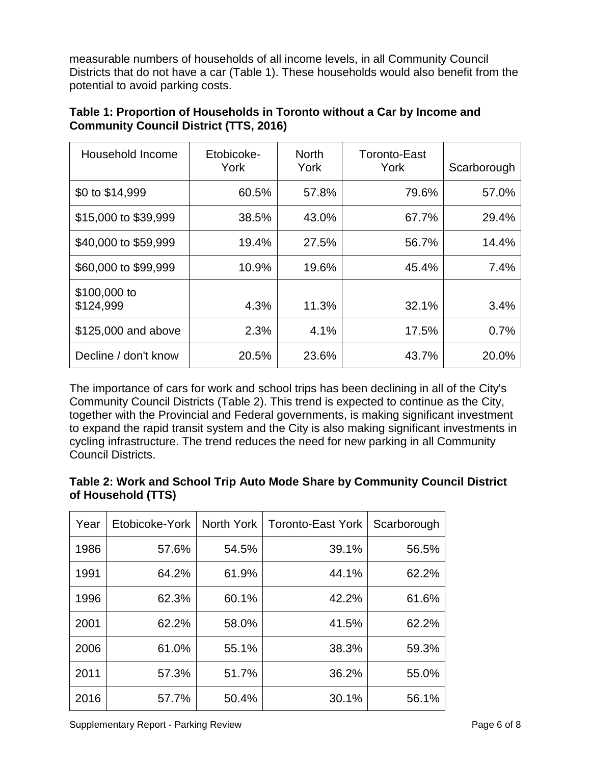measurable numbers of households of all income levels, in all Community Council Districts that do not have a car (Table 1). These households would also benefit from the potential to avoid parking costs.

| Table 1: Proportion of Households in Toronto without a Car by Income and |  |
|--------------------------------------------------------------------------|--|
| <b>Community Council District (TTS, 2016)</b>                            |  |

| Household Income          | Etobicoke-<br>York | <b>North</b><br>York | Toronto-East<br>York | Scarborough |
|---------------------------|--------------------|----------------------|----------------------|-------------|
| \$0 to \$14,999           | 60.5%              | 57.8%                | 79.6%                | 57.0%       |
| \$15,000 to \$39,999      | 38.5%              | 43.0%                | 67.7%                | 29.4%       |
| \$40,000 to \$59,999      | 19.4%              | 27.5%                | 56.7%                | 14.4%       |
| \$60,000 to \$99,999      | 10.9%              | 19.6%                | 45.4%                | 7.4%        |
| \$100,000 to<br>\$124,999 | 4.3%               | 11.3%                | 32.1%                | 3.4%        |
| \$125,000 and above       | 2.3%               | 4.1%                 | 17.5%                | 0.7%        |
| Decline / don't know      | 20.5%              | 23.6%                | 43.7%                | 20.0%       |

The importance of cars for work and school trips has been declining in all of the City's Community Council Districts (Table 2). This trend is expected to continue as the City, together with the Provincial and Federal governments, is making significant investment to expand the rapid transit system and the City is also making significant investments in cycling infrastructure. The trend reduces the need for new parking in all Community Council Districts.

| Table 2: Work and School Trip Auto Mode Share by Community Council District |  |  |
|-----------------------------------------------------------------------------|--|--|
| of Household (TTS)                                                          |  |  |

| Year | Etobicoke-York | North York | <b>Toronto-East York</b> | Scarborough |
|------|----------------|------------|--------------------------|-------------|
| 1986 | 57.6%          | 54.5%      | 39.1%                    | 56.5%       |
| 1991 | 64.2%          | 61.9%      | 44.1%                    | 62.2%       |
| 1996 | 62.3%          | 60.1%      | 42.2%                    | 61.6%       |
| 2001 | 62.2%          | 58.0%      | 41.5%                    | 62.2%       |
| 2006 | 61.0%          | 55.1%      | 38.3%                    | 59.3%       |
| 2011 | 57.3%          | 51.7%      | 36.2%                    | 55.0%       |
| 2016 | 57.7%          | 50.4%      | 30.1%                    | 56.1%       |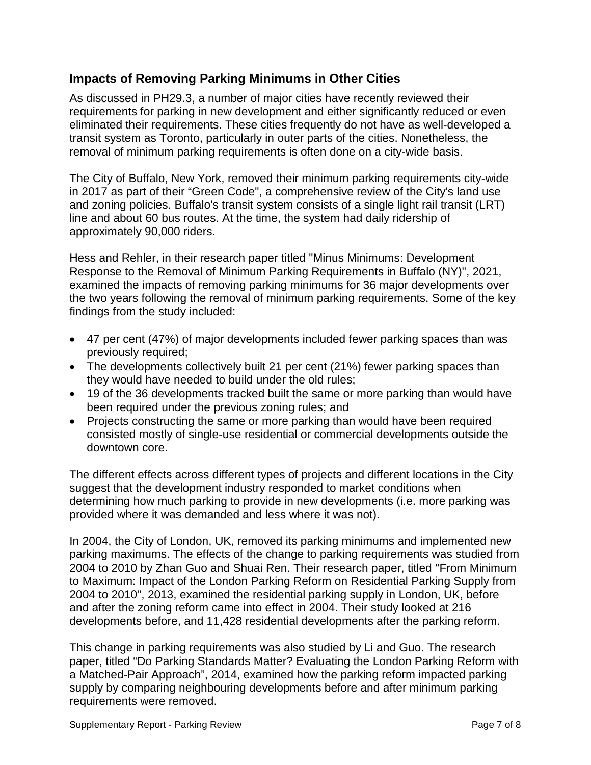# **Impacts of Removing Parking Minimums in Other Cities**

As discussed in PH29.3, a number of major cities have recently reviewed their requirements for parking in new development and either significantly reduced or even eliminated their requirements. These cities frequently do not have as well-developed a transit system as Toronto, particularly in outer parts of the cities. Nonetheless, the removal of minimum parking requirements is often done on a city-wide basis.

The City of Buffalo, New York, removed their minimum parking requirements city-wide in 2017 as part of their "Green Code", a comprehensive review of the City's land use and zoning policies. Buffalo's transit system consists of a single light rail transit (LRT) line and about 60 bus routes. At the time, the system had daily ridership of approximately 90,000 riders.

Hess and Rehler, in their research paper titled "Minus Minimums: Development Response to the Removal of Minimum Parking Requirements in Buffalo (NY)", 2021, examined the impacts of removing parking minimums for 36 major developments over the two years following the removal of minimum parking requirements. Some of the key findings from the study included:

- 47 per cent (47%) of major developments included fewer parking spaces than was previously required;
- The developments collectively built 21 per cent (21%) fewer parking spaces than they would have needed to build under the old rules;
- 19 of the 36 developments tracked built the same or more parking than would have been required under the previous zoning rules; and
- Projects constructing the same or more parking than would have been required consisted mostly of single-use residential or commercial developments outside the downtown core.

The different effects across different types of projects and different locations in the City suggest that the development industry responded to market conditions when determining how much parking to provide in new developments (i.e. more parking was provided where it was demanded and less where it was not).

In 2004, the City of London, UK, removed its parking minimums and implemented new parking maximums. The effects of the change to parking requirements was studied from 2004 to 2010 by Zhan Guo and Shuai Ren. Their research paper, titled "From Minimum to Maximum: Impact of the London Parking Reform on Residential Parking Supply from 2004 to 2010", 2013, examined the residential parking supply in London, UK, before and after the zoning reform came into effect in 2004. Their study looked at 216 developments before, and 11,428 residential developments after the parking reform.

This change in parking requirements was also studied by Li and Guo. The research paper, titled "Do Parking Standards Matter? Evaluating the London Parking Reform with a Matched-Pair Approach", 2014, examined how the parking reform impacted parking supply by comparing neighbouring developments before and after minimum parking requirements were removed.